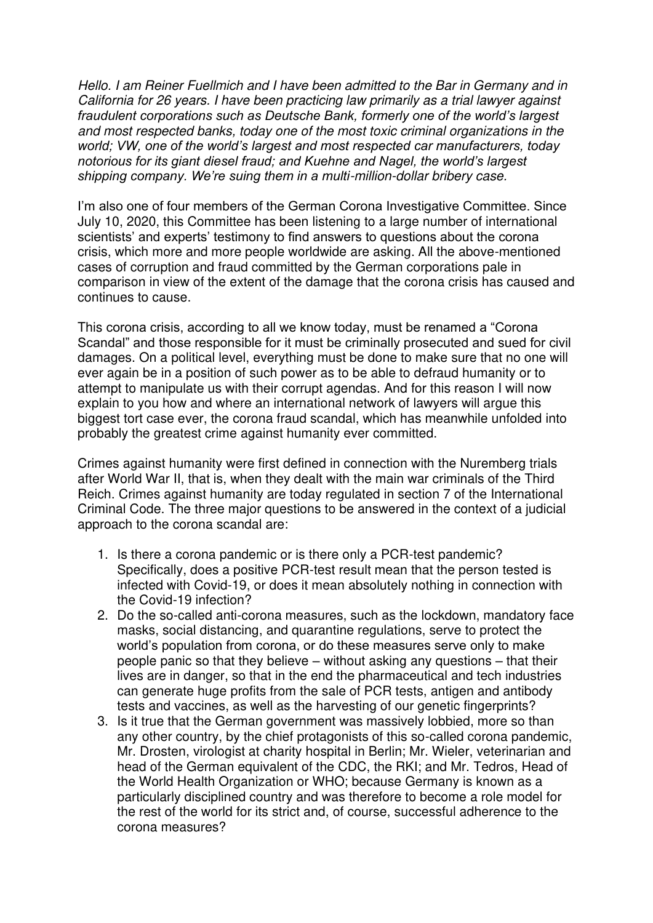*Hello. I am Reiner Fuellmich and I have been admitted to the Bar in Germany and in California for 26 years. I have been practicing law primarily as a trial lawyer against fraudulent corporations such as Deutsche Bank, formerly one of the world's largest and most respected banks, today one of the most toxic criminal organizations in the world; VW, one of the world's largest and most respected car manufacturers, today notorious for its giant diesel fraud; and Kuehne and Nagel, the world's largest shipping company. We're suing them in a multi-million-dollar bribery case.* 

I'm also one of four members of the German Corona Investigative Committee. Since July 10, 2020, this Committee has been listening to a large number of international scientists' and experts' testimony to find answers to questions about the corona crisis, which more and more people worldwide are asking. All the above-mentioned cases of corruption and fraud committed by the German corporations pale in comparison in view of the extent of the damage that the corona crisis has caused and continues to cause.

This corona crisis, according to all we know today, must be renamed a "Corona Scandal" and those responsible for it must be criminally prosecuted and sued for civil damages. On a political level, everything must be done to make sure that no one will ever again be in a position of such power as to be able to defraud humanity or to attempt to manipulate us with their corrupt agendas. And for this reason I will now explain to you how and where an international network of lawyers will argue this biggest tort case ever, the corona fraud scandal, which has meanwhile unfolded into probably the greatest crime against humanity ever committed.

Crimes against humanity were first defined in connection with the Nuremberg trials after World War II, that is, when they dealt with the main war criminals of the Third Reich. Crimes against humanity are today regulated in section 7 of the International Criminal Code. The three major questions to be answered in the context of a judicial approach to the corona scandal are:

- 1. Is there a corona pandemic or is there only a PCR-test pandemic? Specifically, does a positive PCR-test result mean that the person tested is infected with Covid-19, or does it mean absolutely nothing in connection with the Covid-19 infection?
- 2. Do the so-called anti-corona measures, such as the lockdown, mandatory face masks, social distancing, and quarantine regulations, serve to protect the world's population from corona, or do these measures serve only to make people panic so that they believe – without asking any questions – that their lives are in danger, so that in the end the pharmaceutical and tech industries can generate huge profits from the sale of PCR tests, antigen and antibody tests and vaccines, as well as the harvesting of our genetic fingerprints?
- 3. Is it true that the German government was massively lobbied, more so than any other country, by the chief protagonists of this so-called corona pandemic, Mr. Drosten, virologist at charity hospital in Berlin; Mr. Wieler, veterinarian and head of the German equivalent of the CDC, the RKI; and Mr. Tedros, Head of the World Health Organization or WHO; because Germany is known as a particularly disciplined country and was therefore to become a role model for the rest of the world for its strict and, of course, successful adherence to the corona measures?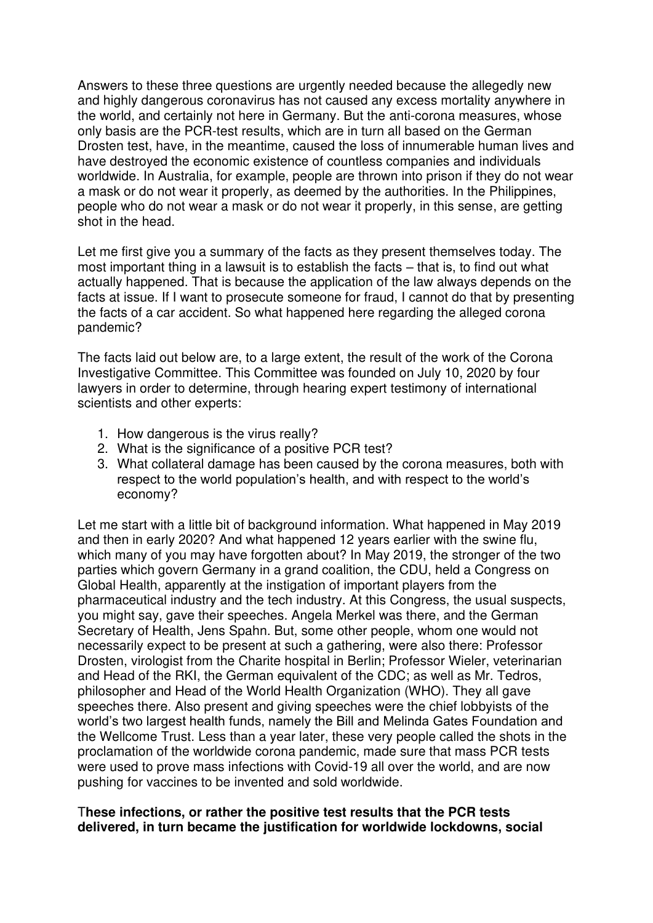Answers to these three questions are urgently needed because the allegedly new and highly dangerous coronavirus has not caused any excess mortality anywhere in the world, and certainly not here in Germany. But the anti-corona measures, whose only basis are the PCR-test results, which are in turn all based on the German Drosten test, have, in the meantime, caused the loss of innumerable human lives and have destroyed the economic existence of countless companies and individuals worldwide. In Australia, for example, people are thrown into prison if they do not wear a mask or do not wear it properly, as deemed by the authorities. In the Philippines, people who do not wear a mask or do not wear it properly, in this sense, are getting shot in the head.

Let me first give you a summary of the facts as they present themselves today. The most important thing in a lawsuit is to establish the facts – that is, to find out what actually happened. That is because the application of the law always depends on the facts at issue. If I want to prosecute someone for fraud, I cannot do that by presenting the facts of a car accident. So what happened here regarding the alleged corona pandemic?

The facts laid out below are, to a large extent, the result of the work of the Corona Investigative Committee. This Committee was founded on July 10, 2020 by four lawyers in order to determine, through hearing expert testimony of international scientists and other experts:

- 1. How dangerous is the virus really?
- 2. What is the significance of a positive PCR test?
- 3. What collateral damage has been caused by the corona measures, both with respect to the world population's health, and with respect to the world's economy?

Let me start with a little bit of background information. What happened in May 2019 and then in early 2020? And what happened 12 years earlier with the swine flu, which many of you may have forgotten about? In May 2019, the stronger of the two parties which govern Germany in a grand coalition, the CDU, held a Congress on Global Health, apparently at the instigation of important players from the pharmaceutical industry and the tech industry. At this Congress, the usual suspects, you might say, gave their speeches. Angela Merkel was there, and the German Secretary of Health, Jens Spahn. But, some other people, whom one would not necessarily expect to be present at such a gathering, were also there: Professor Drosten, virologist from the Charite hospital in Berlin; Professor Wieler, veterinarian and Head of the RKI, the German equivalent of the CDC; as well as Mr. Tedros, philosopher and Head of the World Health Organization (WHO). They all gave speeches there. Also present and giving speeches were the chief lobbyists of the world's two largest health funds, namely the Bill and Melinda Gates Foundation and the Wellcome Trust. Less than a year later, these very people called the shots in the proclamation of the worldwide corona pandemic, made sure that mass PCR tests were used to prove mass infections with Covid-19 all over the world, and are now pushing for vaccines to be invented and sold worldwide.

## T**hese infections, or rather the positive test results that the PCR tests delivered, in turn became the justification for worldwide lockdowns, social**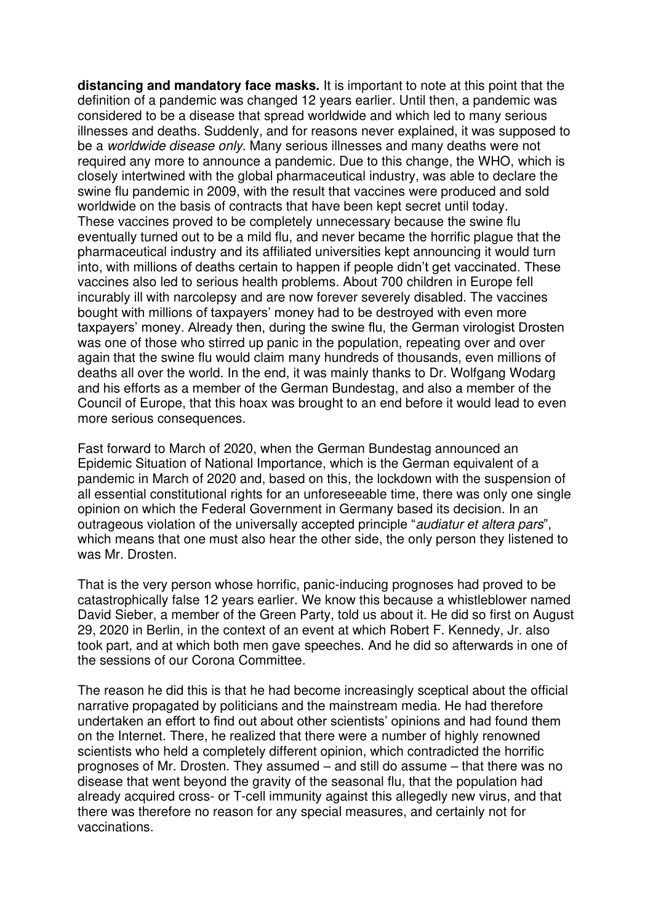**distancing and mandatory face masks.** It is important to note at this point that the definition of a pandemic was changed 12 years earlier. Until then, a pandemic was considered to be a disease that spread worldwide and which led to many serious illnesses and deaths. Suddenly, and for reasons never explained, it was supposed to be a *worldwide disease only*. Many serious illnesses and many deaths were not required any more to announce a pandemic. Due to this change, the WHO, which is closely intertwined with the global pharmaceutical industry, was able to declare the swine flu pandemic in 2009, with the result that vaccines were produced and sold worldwide on the basis of contracts that have been kept secret until today. These vaccines proved to be completely unnecessary because the swine flu eventually turned out to be a mild flu, and never became the horrific plague that the pharmaceutical industry and its affiliated universities kept announcing it would turn into, with millions of deaths certain to happen if people didn't get vaccinated. These vaccines also led to serious health problems. About 700 children in Europe fell incurably ill with narcolepsy and are now forever severely disabled. The vaccines bought with millions of taxpayers' money had to be destroyed with even more taxpayers' money. Already then, during the swine flu, the German virologist Drosten was one of those who stirred up panic in the population, repeating over and over again that the swine flu would claim many hundreds of thousands, even millions of deaths all over the world. In the end, it was mainly thanks to Dr. Wolfgang Wodarg and his efforts as a member of the German Bundestag, and also a member of the Council of Europe, that this hoax was brought to an end before it would lead to even more serious consequences.

Fast forward to March of 2020, when the German Bundestag announced an Epidemic Situation of National Importance, which is the German equivalent of a pandemic in March of 2020 and, based on this, the lockdown with the suspension of all essential constitutional rights for an unforeseeable time, there was only one single opinion on which the Federal Government in Germany based its decision. In an outrageous violation of the universally accepted principle "*audiatur et altera pars*", which means that one must also hear the other side, the only person they listened to was Mr. Drosten.

That is the very person whose horrific, panic-inducing prognoses had proved to be catastrophically false 12 years earlier. We know this because a whistleblower named David Sieber, a member of the Green Party, told us about it. He did so first on August 29, 2020 in Berlin, in the context of an event at which Robert F. Kennedy, Jr. also took part, and at which both men gave speeches. And he did so afterwards in one of the sessions of our Corona Committee.

The reason he did this is that he had become increasingly sceptical about the official narrative propagated by politicians and the mainstream media. He had therefore undertaken an effort to find out about other scientists' opinions and had found them on the Internet. There, he realized that there were a number of highly renowned scientists who held a completely different opinion, which contradicted the horrific prognoses of Mr. Drosten. They assumed – and still do assume – that there was no disease that went beyond the gravity of the seasonal flu, that the population had already acquired cross- or T-cell immunity against this allegedly new virus, and that there was therefore no reason for any special measures, and certainly not for vaccinations.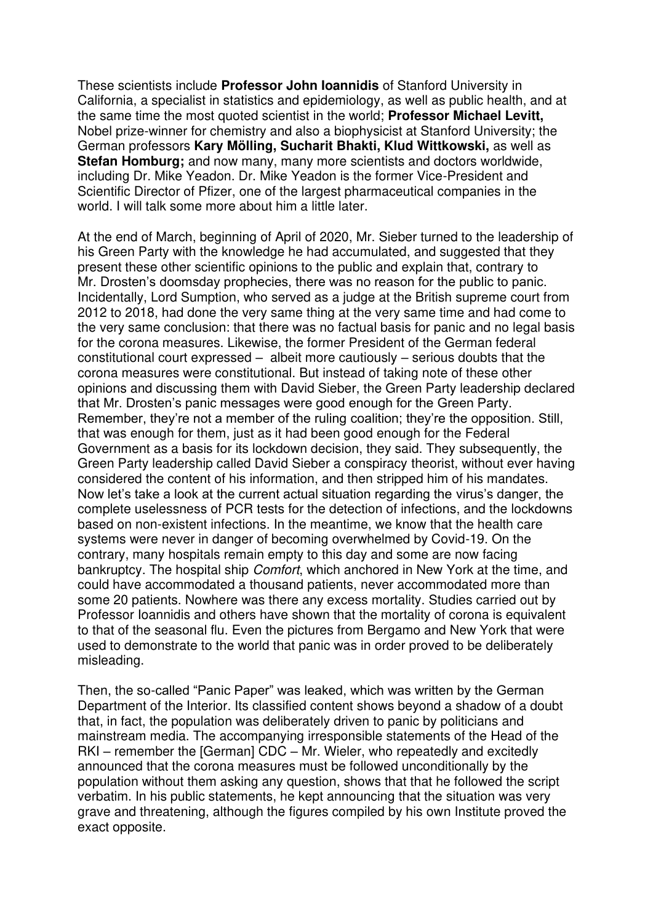These scientists include **Professor John Ioannidis** of Stanford University in California, a specialist in statistics and epidemiology, as well as public health, and at the same time the most quoted scientist in the world; **Professor Michael Levitt,** Nobel prize-winner for chemistry and also a biophysicist at Stanford University; the German professors **Kary Mölling, Sucharit Bhakti, Klud Wittkowski,** as well as **Stefan Homburg;** and now many, many more scientists and doctors worldwide, including Dr. Mike Yeadon. Dr. Mike Yeadon is the former Vice-President and Scientific Director of Pfizer, one of the largest pharmaceutical companies in the world. I will talk some more about him a little later.

At the end of March, beginning of April of 2020, Mr. Sieber turned to the leadership of his Green Party with the knowledge he had accumulated, and suggested that they present these other scientific opinions to the public and explain that, contrary to Mr. Drosten's doomsday prophecies, there was no reason for the public to panic. Incidentally, Lord Sumption, who served as a judge at the British supreme court from 2012 to 2018, had done the very same thing at the very same time and had come to the very same conclusion: that there was no factual basis for panic and no legal basis for the corona measures. Likewise, the former President of the German federal constitutional court expressed – albeit more cautiously – serious doubts that the corona measures were constitutional. But instead of taking note of these other opinions and discussing them with David Sieber, the Green Party leadership declared that Mr. Drosten's panic messages were good enough for the Green Party. Remember, they're not a member of the ruling coalition; they're the opposition. Still, that was enough for them, just as it had been good enough for the Federal Government as a basis for its lockdown decision, they said. They subsequently, the Green Party leadership called David Sieber a conspiracy theorist, without ever having considered the content of his information, and then stripped him of his mandates. Now let's take a look at the current actual situation regarding the virus's danger, the complete uselessness of PCR tests for the detection of infections, and the lockdowns based on non-existent infections. In the meantime, we know that the health care systems were never in danger of becoming overwhelmed by Covid-19. On the contrary, many hospitals remain empty to this day and some are now facing bankruptcy. The hospital ship *Comfort*, which anchored in New York at the time, and could have accommodated a thousand patients, never accommodated more than some 20 patients. Nowhere was there any excess mortality. Studies carried out by Professor Ioannidis and others have shown that the mortality of corona is equivalent to that of the seasonal flu. Even the pictures from Bergamo and New York that were used to demonstrate to the world that panic was in order proved to be deliberately misleading.

Then, the so-called "Panic Paper" was leaked, which was written by the German Department of the Interior. Its classified content shows beyond a shadow of a doubt that, in fact, the population was deliberately driven to panic by politicians and mainstream media. The accompanying irresponsible statements of the Head of the RKI – remember the [German] CDC – Mr. Wieler, who repeatedly and excitedly announced that the corona measures must be followed unconditionally by the population without them asking any question, shows that that he followed the script verbatim. In his public statements, he kept announcing that the situation was very grave and threatening, although the figures compiled by his own Institute proved the exact opposite.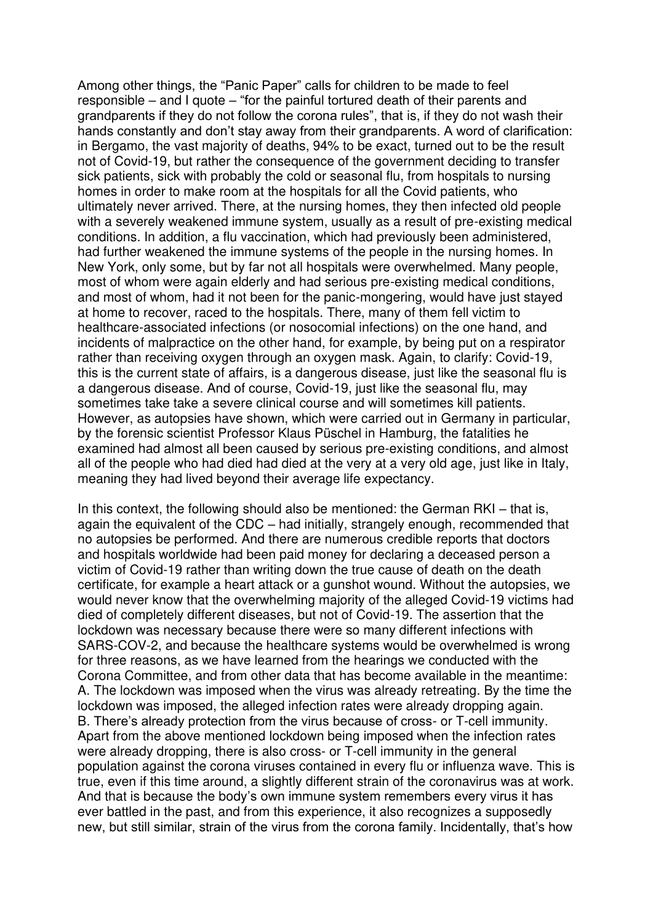Among other things, the "Panic Paper" calls for children to be made to feel responsible – and I quote – "for the painful tortured death of their parents and grandparents if they do not follow the corona rules", that is, if they do not wash their hands constantly and don't stay away from their grandparents. A word of clarification: in Bergamo, the vast majority of deaths, 94% to be exact, turned out to be the result not of Covid-19, but rather the consequence of the government deciding to transfer sick patients, sick with probably the cold or seasonal flu, from hospitals to nursing homes in order to make room at the hospitals for all the Covid patients, who ultimately never arrived. There, at the nursing homes, they then infected old people with a severely weakened immune system, usually as a result of pre-existing medical conditions. In addition, a flu vaccination, which had previously been administered, had further weakened the immune systems of the people in the nursing homes. In New York, only some, but by far not all hospitals were overwhelmed. Many people, most of whom were again elderly and had serious pre-existing medical conditions, and most of whom, had it not been for the panic-mongering, would have just stayed at home to recover, raced to the hospitals. There, many of them fell victim to healthcare-associated infections (or nosocomial infections) on the one hand, and incidents of malpractice on the other hand, for example, by being put on a respirator rather than receiving oxygen through an oxygen mask. Again, to clarify: Covid-19, this is the current state of affairs, is a dangerous disease, just like the seasonal flu is a dangerous disease. And of course, Covid-19, just like the seasonal flu, may sometimes take take a severe clinical course and will sometimes kill patients. However, as autopsies have shown, which were carried out in Germany in particular, by the forensic scientist Professor Klaus Püschel in Hamburg, the fatalities he examined had almost all been caused by serious pre-existing conditions, and almost all of the people who had died had died at the very at a very old age, just like in Italy, meaning they had lived beyond their average life expectancy.

In this context, the following should also be mentioned: the German RKI – that is, again the equivalent of the CDC – had initially, strangely enough, recommended that no autopsies be performed. And there are numerous credible reports that doctors and hospitals worldwide had been paid money for declaring a deceased person a victim of Covid-19 rather than writing down the true cause of death on the death certificate, for example a heart attack or a gunshot wound. Without the autopsies, we would never know that the overwhelming majority of the alleged Covid-19 victims had died of completely different diseases, but not of Covid-19. The assertion that the lockdown was necessary because there were so many different infections with SARS-COV-2, and because the healthcare systems would be overwhelmed is wrong for three reasons, as we have learned from the hearings we conducted with the Corona Committee, and from other data that has become available in the meantime: A. The lockdown was imposed when the virus was already retreating. By the time the lockdown was imposed, the alleged infection rates were already dropping again. B. There's already protection from the virus because of cross- or T-cell immunity. Apart from the above mentioned lockdown being imposed when the infection rates were already dropping, there is also cross- or T-cell immunity in the general population against the corona viruses contained in every flu or influenza wave. This is true, even if this time around, a slightly different strain of the coronavirus was at work. And that is because the body's own immune system remembers every virus it has ever battled in the past, and from this experience, it also recognizes a supposedly new, but still similar, strain of the virus from the corona family. Incidentally, that's how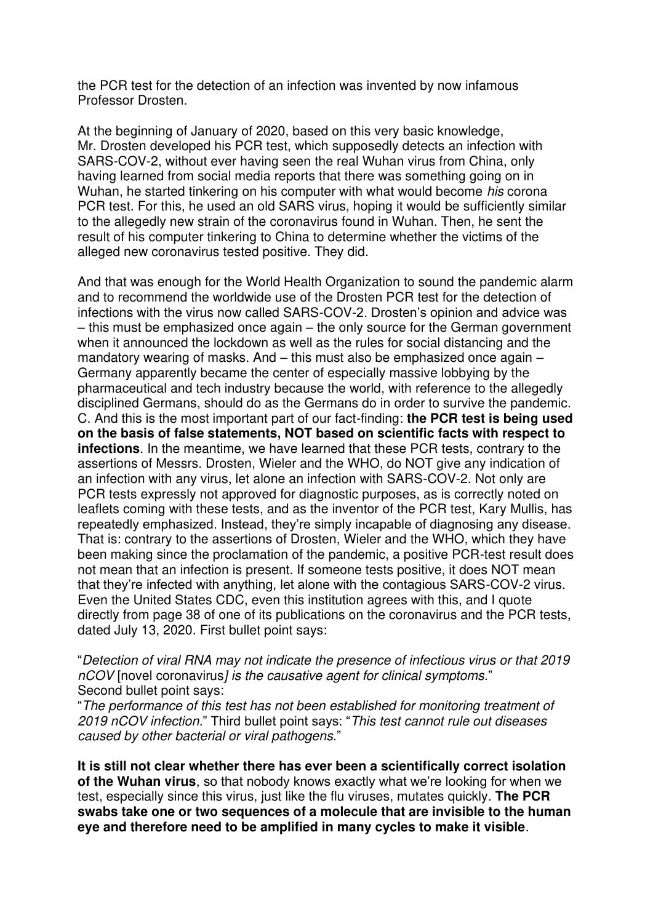the PCR test for the detection of an infection was invented by now infamous Professor Drosten.

At the beginning of January of 2020, based on this very basic knowledge, Mr. Drosten developed his PCR test, which supposedly detects an infection with SARS-COV-2, without ever having seen the real Wuhan virus from China, only having learned from social media reports that there was something going on in Wuhan, he started tinkering on his computer with what would become *his* corona PCR test. For this, he used an old SARS virus, hoping it would be sufficiently similar to the allegedly new strain of the coronavirus found in Wuhan. Then, he sent the result of his computer tinkering to China to determine whether the victims of the alleged new coronavirus tested positive. They did.

And that was enough for the World Health Organization to sound the pandemic alarm and to recommend the worldwide use of the Drosten PCR test for the detection of infections with the virus now called SARS-COV-2. Drosten's opinion and advice was – this must be emphasized once again – the only source for the German government when it announced the lockdown as well as the rules for social distancing and the mandatory wearing of masks. And – this must also be emphasized once again – Germany apparently became the center of especially massive lobbying by the pharmaceutical and tech industry because the world, with reference to the allegedly disciplined Germans, should do as the Germans do in order to survive the pandemic. C. And this is the most important part of our fact-finding: **the PCR test is being used on the basis of false statements, NOT based on scientific facts with respect to infections**. In the meantime, we have learned that these PCR tests, contrary to the assertions of Messrs. Drosten, Wieler and the WHO, do NOT give any indication of an infection with any virus, let alone an infection with SARS-COV-2. Not only are PCR tests expressly not approved for diagnostic purposes, as is correctly noted on leaflets coming with these tests, and as the inventor of the PCR test, Kary Mullis, has repeatedly emphasized. Instead, they're simply incapable of diagnosing any disease. That is: contrary to the assertions of Drosten, Wieler and the WHO, which they have been making since the proclamation of the pandemic, a positive PCR-test result does not mean that an infection is present. If someone tests positive, it does NOT mean that they're infected with anything, let alone with the contagious SARS-COV-2 virus. Even the United States CDC, even this institution agrees with this, and I quote directly from page 38 of one of its publications on the coronavirus and the PCR tests, dated July 13, 2020. First bullet point says:

"*Detection of viral RNA may not indicate the presence of infectious virus or that 2019 nCOV* [novel coronavirus*] is the causative agent for clinical symptoms*." Second bullet point says:

"*The performance of this test has not been established for monitoring treatment of 2019 nCOV infection*." Third bullet point says: "*This test cannot rule out diseases caused by other bacterial or viral pathogens*."

**It is still not clear whether there has ever been a scientifically correct isolation of the Wuhan virus**, so that nobody knows exactly what we're looking for when we test, especially since this virus, just like the flu viruses, mutates quickly. **The PCR swabs take one or two sequences of a molecule that are invisible to the human eye and therefore need to be amplified in many cycles to make it visible**.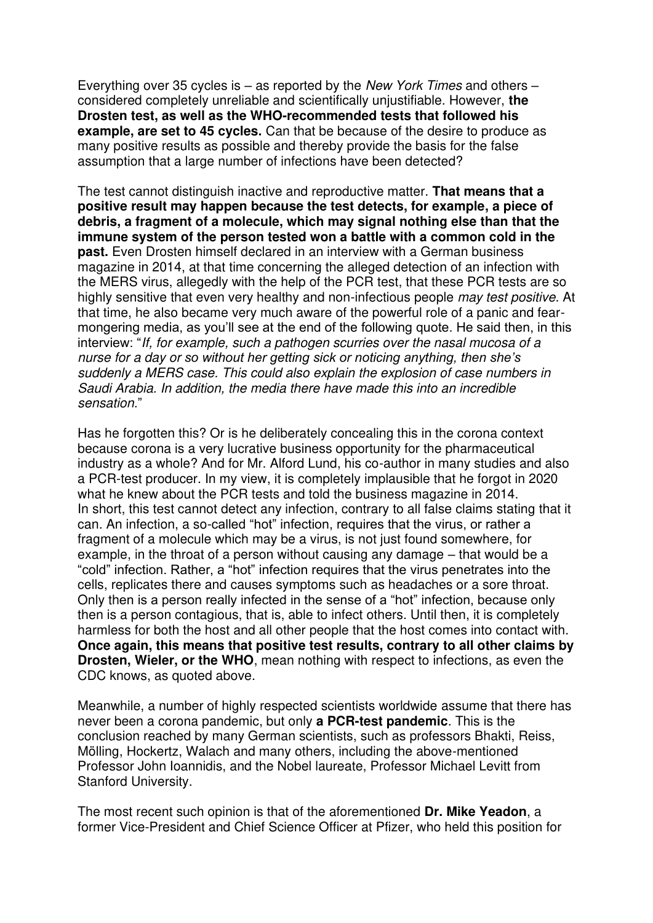Everything over 35 cycles is – as reported by the *New York Times* and others – considered completely unreliable and scientifically unjustifiable. However, **the Drosten test, as well as the WHO-recommended tests that followed his example, are set to 45 cycles.** Can that be because of the desire to produce as many positive results as possible and thereby provide the basis for the false assumption that a large number of infections have been detected?

The test cannot distinguish inactive and reproductive matter. **That means that a positive result may happen because the test detects, for example, a piece of debris, a fragment of a molecule, which may signal nothing else than that the immune system of the person tested won a battle with a common cold in the past.** Even Drosten himself declared in an interview with a German business magazine in 2014, at that time concerning the alleged detection of an infection with the MERS virus, allegedly with the help of the PCR test, that these PCR tests are so highly sensitive that even very healthy and non-infectious people *may test positive*. At that time, he also became very much aware of the powerful role of a panic and fearmongering media, as you'll see at the end of the following quote. He said then, in this interview: "*If, for example, such a pathogen scurries over the nasal mucosa of a nurse for a day or so without her getting sick or noticing anything, then she's suddenly a MERS case. This could also explain the explosion of case numbers in Saudi Arabia. In addition, the media there have made this into an incredible sensation*."

Has he forgotten this? Or is he deliberately concealing this in the corona context because corona is a very lucrative business opportunity for the pharmaceutical industry as a whole? And for Mr. Alford Lund, his co-author in many studies and also a PCR-test producer. In my view, it is completely implausible that he forgot in 2020 what he knew about the PCR tests and told the business magazine in 2014. In short, this test cannot detect any infection, contrary to all false claims stating that it can. An infection, a so-called "hot" infection, requires that the virus, or rather a fragment of a molecule which may be a virus, is not just found somewhere, for example, in the throat of a person without causing any damage – that would be a "cold" infection. Rather, a "hot" infection requires that the virus penetrates into the cells, replicates there and causes symptoms such as headaches or a sore throat. Only then is a person really infected in the sense of a "hot" infection, because only then is a person contagious, that is, able to infect others. Until then, it is completely harmless for both the host and all other people that the host comes into contact with. **Once again, this means that positive test results, contrary to all other claims by Drosten, Wieler, or the WHO**, mean nothing with respect to infections, as even the CDC knows, as quoted above.

Meanwhile, a number of highly respected scientists worldwide assume that there has never been a corona pandemic, but only **a PCR-test pandemic**. This is the conclusion reached by many German scientists, such as professors Bhakti, Reiss, Mölling, Hockertz, Walach and many others, including the above-mentioned Professor John Ioannidis, and the Nobel laureate, Professor Michael Levitt from Stanford University.

The most recent such opinion is that of the aforementioned **Dr. Mike Yeadon**, a former Vice-President and Chief Science Officer at Pfizer, who held this position for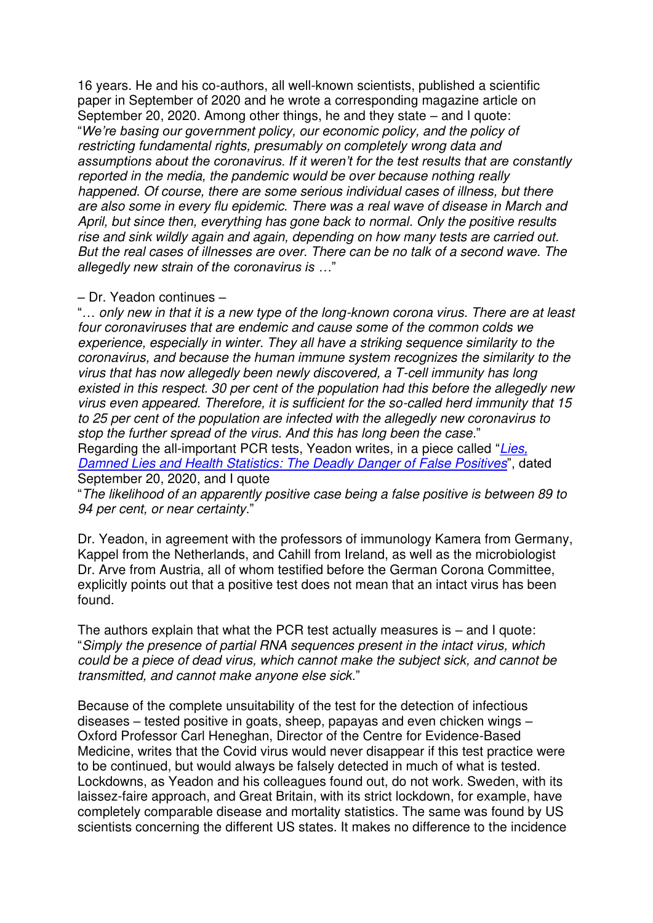16 years. He and his co-authors, all well-known scientists, published a scientific paper in September of 2020 and he wrote a corresponding magazine article on September 20, 2020. Among other things, he and they state – and I quote: "*We're basing our government policy, our economic policy, and the policy of restricting fundamental rights, presumably on completely wrong data and assumptions about the coronavirus. If it weren't for the test results that are constantly reported in the media, the pandemic would be over because nothing really happened. Of course, there are some serious individual cases of illness, but there are also some in every flu epidemic. There was a real wave of disease in March and April, but since then, everything has gone back to normal. Only the positive results rise and sink wildly again and again, depending on how many tests are carried out. But the real cases of illnesses are over. There can be no talk of a second wave. The allegedly new strain of the coronavirus is …*"

## – Dr. Yeadon continues –

"… *only new in that it is a new type of the long-known corona virus. There are at least four coronaviruses that are endemic and cause some of the common colds we experience, especially in winter. They all have a striking sequence similarity to the coronavirus, and because the human immune system recognizes the similarity to the virus that has now allegedly been newly discovered, a T-cell immunity has long existed in this respect. 30 per cent of the population had this before the allegedly new virus even appeared. Therefore, it is sufficient for the so-called herd immunity that 15 to 25 per cent of the population are infected with the allegedly new coronavirus to stop the further spread of the virus. And this has long been the case*." Regarding the all-important PCR tests, Yeadon writes, in a piece called "*[Lies,](https://lockdownsceptics.org/lies-damned-lies-and-health-statistics-the-deadly-danger-of-false-positives/)  [Damned Lies and Health Statistics: The Deadly Danger of False Positives](https://lockdownsceptics.org/lies-damned-lies-and-health-statistics-the-deadly-danger-of-false-positives/)*", dated September 20, 2020, and I quote

"*The likelihood of an apparently positive case being a false positive is between 89 to 94 per cent, or near certainty*."

Dr. Yeadon, in agreement with the professors of immunology Kamera from Germany, Kappel from the Netherlands, and Cahill from Ireland, as well as the microbiologist Dr. Arve from Austria, all of whom testified before the German Corona Committee, explicitly points out that a positive test does not mean that an intact virus has been found.

The authors explain that what the PCR test actually measures is – and I quote: "*Simply the presence of partial RNA sequences present in the intact virus, which could be a piece of dead virus, which cannot make the subject sick, and cannot be transmitted, and cannot make anyone else sick*."

Because of the complete unsuitability of the test for the detection of infectious diseases – tested positive in goats, sheep, papayas and even chicken wings – Oxford Professor Carl Heneghan, Director of the Centre for Evidence-Based Medicine, writes that the Covid virus would never disappear if this test practice were to be continued, but would always be falsely detected in much of what is tested. Lockdowns, as Yeadon and his colleagues found out, do not work. Sweden, with its laissez-faire approach, and Great Britain, with its strict lockdown, for example, have completely comparable disease and mortality statistics. The same was found by US scientists concerning the different US states. It makes no difference to the incidence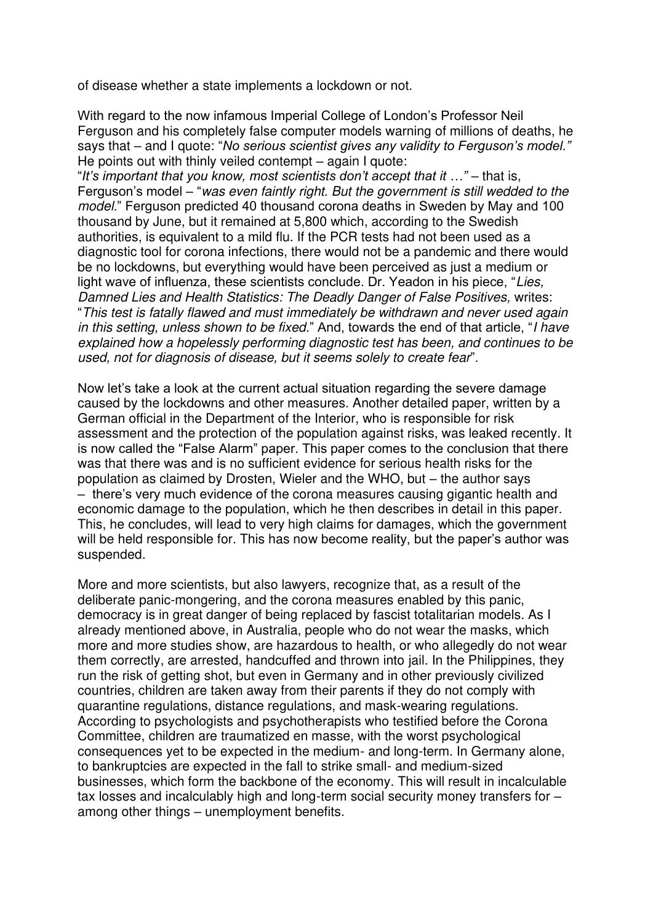of disease whether a state implements a lockdown or not.

With regard to the now infamous Imperial College of London's Professor Neil Ferguson and his completely false computer models warning of millions of deaths, he says that – and I quote: "*No serious scientist gives any validity to Ferguson's model."*  He points out with thinly veiled contempt – again I quote:

"*It's important that you know, most scientists don't accept that it …"* – that is, Ferguson's model – "*was even faintly right. But the government is still wedded to the model*." Ferguson predicted 40 thousand corona deaths in Sweden by May and 100 thousand by June, but it remained at 5,800 which, according to the Swedish authorities, is equivalent to a mild flu. If the PCR tests had not been used as a diagnostic tool for corona infections, there would not be a pandemic and there would be no lockdowns, but everything would have been perceived as just a medium or light wave of influenza, these scientists conclude. Dr. Yeadon in his piece, "*Lies, Damned Lies and Health Statistics: The Deadly Danger of False Positives,* writes: "*This test is fatally flawed and must immediately be withdrawn and never used again in this setting, unless shown to be fixed*." And, towards the end of that article, "*I have explained how a hopelessly performing diagnostic test has been, and continues to be used, not for diagnosis of disease, but it seems solely to create fear*".

Now let's take a look at the current actual situation regarding the severe damage caused by the lockdowns and other measures. Another detailed paper, written by a German official in the Department of the Interior, who is responsible for risk assessment and the protection of the population against risks, was leaked recently. It is now called the "False Alarm" paper. This paper comes to the conclusion that there was that there was and is no sufficient evidence for serious health risks for the population as claimed by Drosten, Wieler and the WHO, but – the author says – there's very much evidence of the corona measures causing gigantic health and economic damage to the population, which he then describes in detail in this paper. This, he concludes, will lead to very high claims for damages, which the government will be held responsible for. This has now become reality, but the paper's author was suspended.

More and more scientists, but also lawyers, recognize that, as a result of the deliberate panic-mongering, and the corona measures enabled by this panic, democracy is in great danger of being replaced by fascist totalitarian models. As I already mentioned above, in Australia, people who do not wear the masks, which more and more studies show, are hazardous to health, or who allegedly do not wear them correctly, are arrested, handcuffed and thrown into jail. In the Philippines, they run the risk of getting shot, but even in Germany and in other previously civilized countries, children are taken away from their parents if they do not comply with quarantine regulations, distance regulations, and mask-wearing regulations. According to psychologists and psychotherapists who testified before the Corona Committee, children are traumatized en masse, with the worst psychological consequences yet to be expected in the medium- and long-term. In Germany alone, to bankruptcies are expected in the fall to strike small- and medium-sized businesses, which form the backbone of the economy. This will result in incalculable tax losses and incalculably high and long-term social security money transfers for – among other things – unemployment benefits.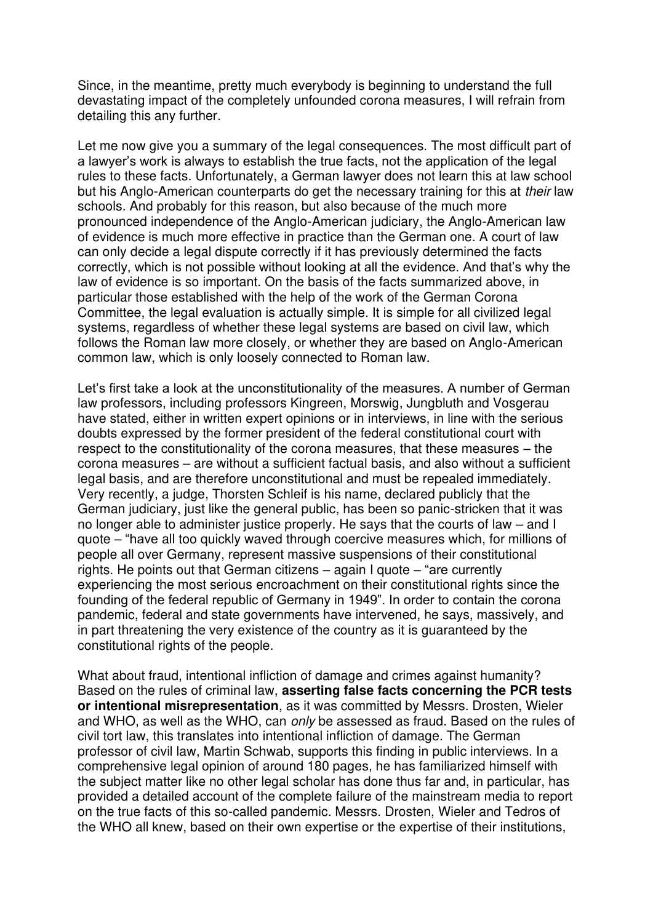Since, in the meantime, pretty much everybody is beginning to understand the full devastating impact of the completely unfounded corona measures, I will refrain from detailing this any further.

Let me now give you a summary of the legal consequences. The most difficult part of a lawyer's work is always to establish the true facts, not the application of the legal rules to these facts. Unfortunately, a German lawyer does not learn this at law school but his Anglo-American counterparts do get the necessary training for this at *their* law schools. And probably for this reason, but also because of the much more pronounced independence of the Anglo-American judiciary, the Anglo-American law of evidence is much more effective in practice than the German one. A court of law can only decide a legal dispute correctly if it has previously determined the facts correctly, which is not possible without looking at all the evidence. And that's why the law of evidence is so important. On the basis of the facts summarized above, in particular those established with the help of the work of the German Corona Committee, the legal evaluation is actually simple. It is simple for all civilized legal systems, regardless of whether these legal systems are based on civil law, which follows the Roman law more closely, or whether they are based on Anglo-American common law, which is only loosely connected to Roman law.

Let's first take a look at the unconstitutionality of the measures. A number of German law professors, including professors Kingreen, Morswig, Jungbluth and Vosgerau have stated, either in written expert opinions or in interviews, in line with the serious doubts expressed by the former president of the federal constitutional court with respect to the constitutionality of the corona measures, that these measures – the corona measures – are without a sufficient factual basis, and also without a sufficient legal basis, and are therefore unconstitutional and must be repealed immediately. Very recently, a judge, Thorsten Schleif is his name, declared publicly that the German judiciary, just like the general public, has been so panic-stricken that it was no longer able to administer justice properly. He says that the courts of law – and I quote – "have all too quickly waved through coercive measures which, for millions of people all over Germany, represent massive suspensions of their constitutional rights. He points out that German citizens – again I quote – "are currently experiencing the most serious encroachment on their constitutional rights since the founding of the federal republic of Germany in 1949". In order to contain the corona pandemic, federal and state governments have intervened, he says, massively, and in part threatening the very existence of the country as it is guaranteed by the constitutional rights of the people.

What about fraud, intentional infliction of damage and crimes against humanity? Based on the rules of criminal law, **asserting false facts concerning the PCR tests or intentional misrepresentation**, as it was committed by Messrs. Drosten, Wieler and WHO, as well as the WHO, can *only* be assessed as fraud. Based on the rules of civil tort law, this translates into intentional infliction of damage. The German professor of civil law, Martin Schwab, supports this finding in public interviews. In a comprehensive legal opinion of around 180 pages, he has familiarized himself with the subject matter like no other legal scholar has done thus far and, in particular, has provided a detailed account of the complete failure of the mainstream media to report on the true facts of this so-called pandemic. Messrs. Drosten, Wieler and Tedros of the WHO all knew, based on their own expertise or the expertise of their institutions,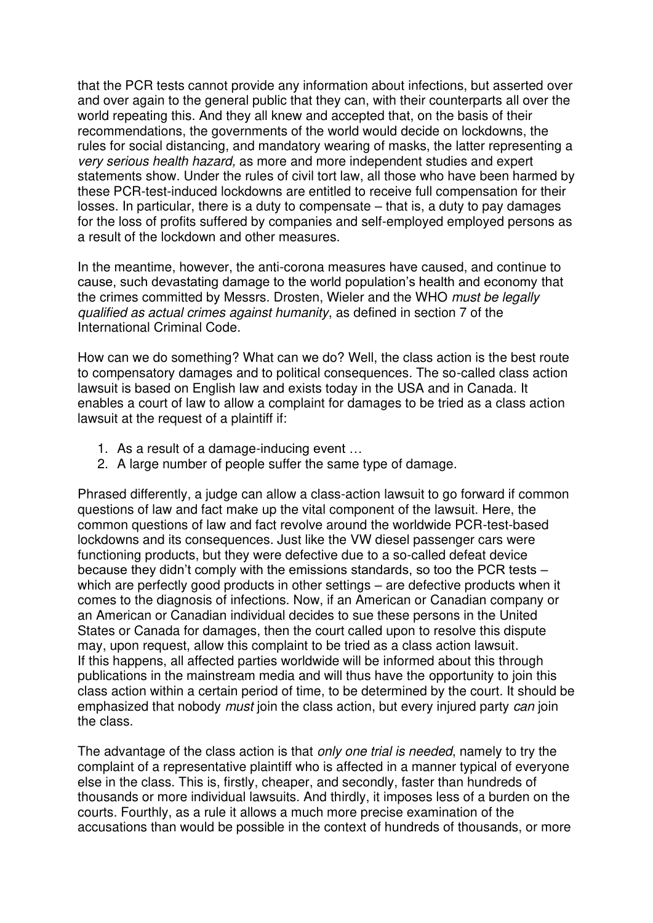that the PCR tests cannot provide any information about infections, but asserted over and over again to the general public that they can, with their counterparts all over the world repeating this. And they all knew and accepted that, on the basis of their recommendations, the governments of the world would decide on lockdowns, the rules for social distancing, and mandatory wearing of masks, the latter representing a *very serious health hazard,* as more and more independent studies and expert statements show. Under the rules of civil tort law, all those who have been harmed by these PCR-test-induced lockdowns are entitled to receive full compensation for their losses. In particular, there is a duty to compensate – that is, a duty to pay damages for the loss of profits suffered by companies and self-employed employed persons as a result of the lockdown and other measures.

In the meantime, however, the anti-corona measures have caused, and continue to cause, such devastating damage to the world population's health and economy that the crimes committed by Messrs. Drosten, Wieler and the WHO *must be legally qualified as actual crimes against humanity*, as defined in section 7 of the International Criminal Code.

How can we do something? What can we do? Well, the class action is the best route to compensatory damages and to political consequences. The so-called class action lawsuit is based on English law and exists today in the USA and in Canada. It enables a court of law to allow a complaint for damages to be tried as a class action lawsuit at the request of a plaintiff if:

- 1. As a result of a damage-inducing event …
- 2. A large number of people suffer the same type of damage.

Phrased differently, a judge can allow a class-action lawsuit to go forward if common questions of law and fact make up the vital component of the lawsuit. Here, the common questions of law and fact revolve around the worldwide PCR-test-based lockdowns and its consequences. Just like the VW diesel passenger cars were functioning products, but they were defective due to a so-called defeat device because they didn't comply with the emissions standards, so too the PCR tests – which are perfectly good products in other settings – are defective products when it comes to the diagnosis of infections. Now, if an American or Canadian company or an American or Canadian individual decides to sue these persons in the United States or Canada for damages, then the court called upon to resolve this dispute may, upon request, allow this complaint to be tried as a class action lawsuit. If this happens, all affected parties worldwide will be informed about this through publications in the mainstream media and will thus have the opportunity to join this class action within a certain period of time, to be determined by the court. It should be emphasized that nobody *must* join the class action, but every injured party *can* join the class.

The advantage of the class action is that *only one trial is needed*, namely to try the complaint of a representative plaintiff who is affected in a manner typical of everyone else in the class. This is, firstly, cheaper, and secondly, faster than hundreds of thousands or more individual lawsuits. And thirdly, it imposes less of a burden on the courts. Fourthly, as a rule it allows a much more precise examination of the accusations than would be possible in the context of hundreds of thousands, or more